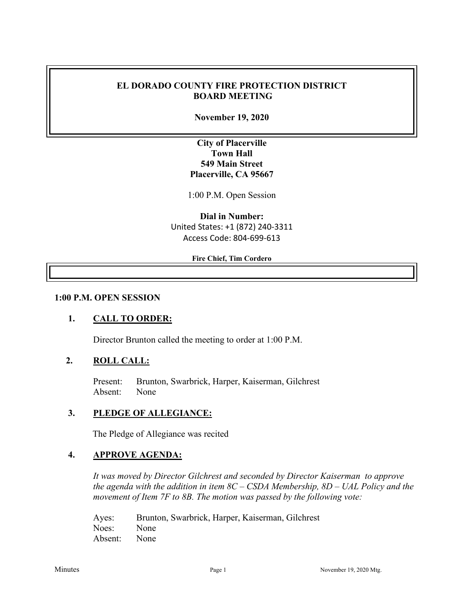#### **EL DORADO COUNTY FIRE PROTECTION DISTRICT BOARD MEETING**

**November 19, 2020**

## **City of Placerville Town Hall 549 Main Street Placerville, CA 95667**

1:00 P.M. Open Session

**Dial in Number:** United States: +1 (872) 240-3311 Access Code: 804-699-613

#### **Fire Chief, Tim Cordero**

#### **1:00 P.M. OPEN SESSION**

#### **1. CALL TO ORDER:**

Director Brunton called the meeting to order at 1:00 P.M.

#### **2. ROLL CALL:**

Present: Brunton, Swarbrick, Harper, Kaiserman, Gilchrest Absent: None

#### **3. PLEDGE OF ALLEGIANCE:**

The Pledge of Allegiance was recited

#### **4. APPROVE AGENDA:**

*It was moved by Director Gilchrest and seconded by Director Kaiserman to approve the agenda with the addition in item 8C – CSDA Membership, 8D – UAL Policy and the movement of Item 7F to 8B. The motion was passed by the following vote:*

| Ayes:        | Brunton, Swarbrick, Harper, Kaiserman, Gilchrest |
|--------------|--------------------------------------------------|
| Noes: None   |                                                  |
| Absent: None |                                                  |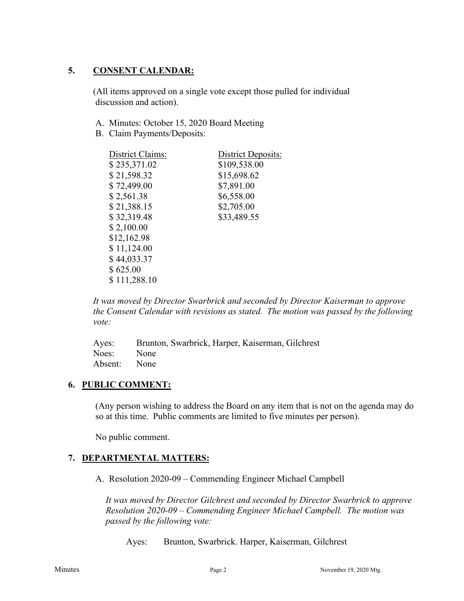## **5. CONSENT CALENDAR:**

 (All items approved on a single vote except those pulled for individual discussion and action).

- A. Minutes: October 15, 2020 Board Meeting
- B. Claim Payments/Deposits:

| District Claims: | <b>District Deposits:</b> |
|------------------|---------------------------|
| \$235,371.02     | \$109,538.00              |
| \$21,598.32      | \$15,698.62               |
| \$72,499.00      | \$7,891.00                |
| \$2,561.38       | \$6,558.00                |
| \$21,388.15      | \$2,705.00                |
| \$32,319.48      | \$33,489.55               |
| \$2,100.00       |                           |
| \$12,162.98      |                           |
| \$11,124.00      |                           |
| \$44,033.37      |                           |
| \$625.00         |                           |
| \$111,288.10     |                           |
|                  |                           |

*It was moved by Director Swarbrick and seconded by Director Kaiserman to approve the Consent Calendar with revisions as stated. The motion was passed by the following vote:*

|              | Ayes: Brunton, Swarbrick, Harper, Kaiserman, Gilchrest |
|--------------|--------------------------------------------------------|
| Noes: None   |                                                        |
| Absent: None |                                                        |

### **6. PUBLIC COMMENT:**

(Any person wishing to address the Board on any item that is not on the agenda may do so at this time. Public comments are limited to five minutes per person).

No public comment.

# **7. DEPARTMENTAL MATTERS:**

A. Resolution 2020-09 – Commending Engineer Michael Campbell

*It was moved by Director Gilchrest and seconded by Director Swarbrick to approve Resolution 2020-09 – Commending Engineer Michael Campbell. The motion was passed by the following vote:*

Ayes: Brunton, Swarbrick. Harper, Kaiserman, Gilchrest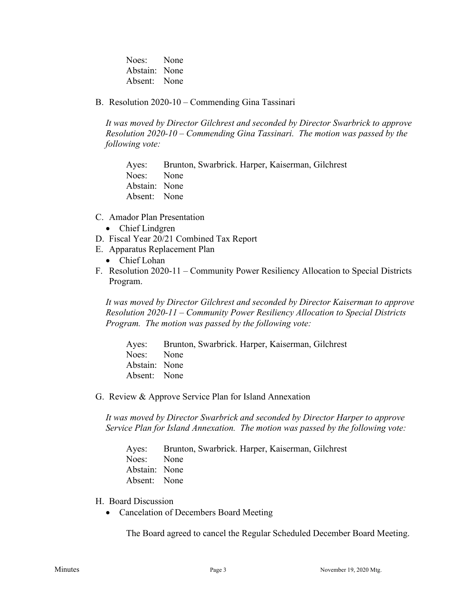Noes: None Abstain: None Absent: None

B. Resolution 2020-10 – Commending Gina Tassinari

*It was moved by Director Gilchrest and seconded by Director Swarbrick to approve Resolution 2020-10 – Commending Gina Tassinari. The motion was passed by the following vote:*

Ayes: Brunton, Swarbrick. Harper, Kaiserman, Gilchrest Noes: None Abstain: None Absent: None

- C. Amador Plan Presentation
	- Chief Lindgren
- D. Fiscal Year 20/21 Combined Tax Report
- E. Apparatus Replacement Plan
	- Chief Lohan
- F. Resolution 2020-11 Community Power Resiliency Allocation to Special Districts Program.

*It was moved by Director Gilchrest and seconded by Director Kaiserman to approve Resolution 2020-11 – Community Power Resiliency Allocation to Special Districts Program. The motion was passed by the following vote:*

Ayes: Brunton, Swarbrick. Harper, Kaiserman, Gilchrest Noes: None Abstain: None Absent: None

G. Review & Approve Service Plan for Island Annexation

*It was moved by Director Swarbrick and seconded by Director Harper to approve Service Plan for Island Annexation. The motion was passed by the following vote:*

Ayes: Brunton, Swarbrick. Harper, Kaiserman, Gilchrest Noes: None Abstain: None Absent: None

- H. Board Discussion
	- Cancelation of Decembers Board Meeting

The Board agreed to cancel the Regular Scheduled December Board Meeting.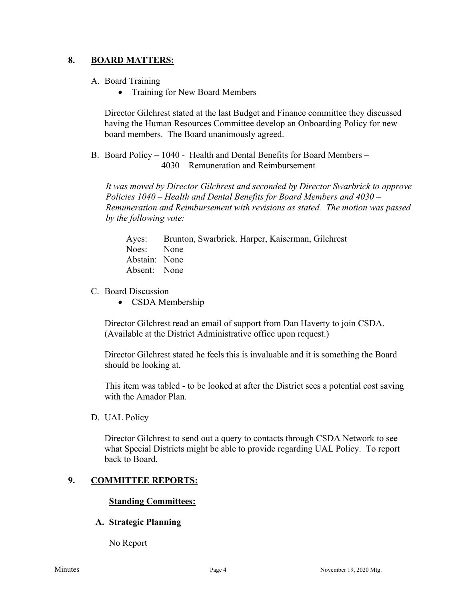#### **8. BOARD MATTERS:**

- A. Board Training
	- Training for New Board Members

Director Gilchrest stated at the last Budget and Finance committee they discussed having the Human Resources Committee develop an Onboarding Policy for new board members. The Board unanimously agreed.

B. Board Policy – 1040 - Health and Dental Benefits for Board Members – 4030 – Remuneration and Reimbursement

*It was moved by Director Gilchrest and seconded by Director Swarbrick to approve Policies 1040 – Health and Dental Benefits for Board Members and 4030 – Remuneration and Reimbursement with revisions as stated. The motion was passed by the following vote:*

Ayes: Brunton, Swarbrick. Harper, Kaiserman, Gilchrest Noes: None Abstain: None Absent: None

#### C. Board Discussion

• CSDA Membership

Director Gilchrest read an email of support from Dan Haverty to join CSDA. (Available at the District Administrative office upon request.)

Director Gilchrest stated he feels this is invaluable and it is something the Board should be looking at.

This item was tabled - to be looked at after the District sees a potential cost saving with the Amador Plan.

D. UAL Policy

Director Gilchrest to send out a query to contacts through CSDA Network to see what Special Districts might be able to provide regarding UAL Policy. To report back to Board.

## **9. COMMITTEE REPORTS:**

#### **Standing Committees:**

### **A. Strategic Planning**

No Report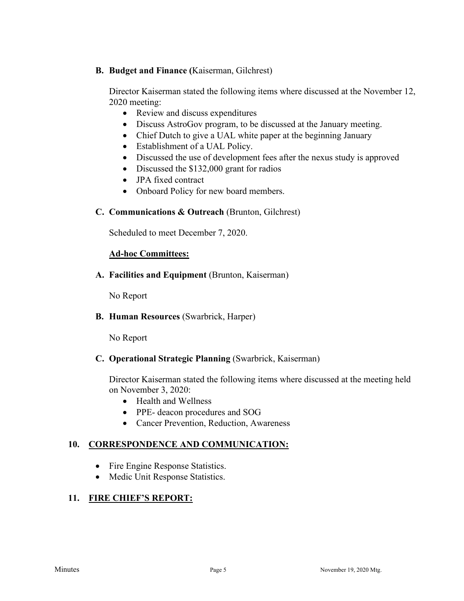### **B. Budget and Finance (**Kaiserman, Gilchrest)

Director Kaiserman stated the following items where discussed at the November 12, 2020 meeting:

- Review and discuss expenditures
- Discuss AstroGov program, to be discussed at the January meeting.
- Chief Dutch to give a UAL white paper at the beginning January
- Establishment of a UAL Policy.
- Discussed the use of development fees after the nexus study is approved
- Discussed the \$132,000 grant for radios
- JPA fixed contract
- Onboard Policy for new board members.

### **C. Communications & Outreach** (Brunton, Gilchrest)

Scheduled to meet December 7, 2020.

### **Ad-hoc Committees:**

**A. Facilities and Equipment** (Brunton, Kaiserman)

No Report

**B. Human Resources** (Swarbrick, Harper)

No Report

### **C. Operational Strategic Planning** (Swarbrick, Kaiserman)

Director Kaiserman stated the following items where discussed at the meeting held on November 3, 2020:

- Health and Wellness
- PPE- deacon procedures and SOG
- Cancer Prevention, Reduction, Awareness

### **10. CORRESPONDENCE AND COMMUNICATION:**

- Fire Engine Response Statistics.
- Medic Unit Response Statistics.

# **11. FIRE CHIEF'S REPORT:**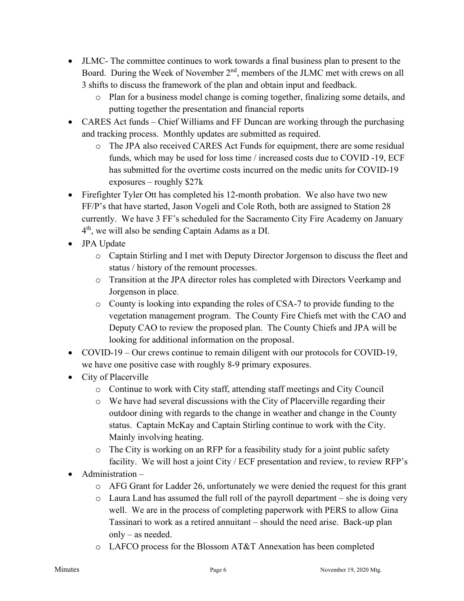- JLMC- The committee continues to work towards a final business plan to present to the Board. During the Week of November  $2<sup>nd</sup>$ , members of the JLMC met with crews on all 3 shifts to discuss the framework of the plan and obtain input and feedback.
	- o Plan for a business model change is coming together, finalizing some details, and putting together the presentation and financial reports
- CARES Act funds Chief Williams and FF Duncan are working through the purchasing and tracking process. Monthly updates are submitted as required.
	- o The JPA also received CARES Act Funds for equipment, there are some residual funds, which may be used for loss time / increased costs due to COVID -19, ECF has submitted for the overtime costs incurred on the medic units for COVID-19 exposures – roughly \$27k
- Firefighter Tyler Ott has completed his 12-month probation. We also have two new FF/P's that have started, Jason Vogeli and Cole Roth, both are assigned to Station 28 currently. We have 3 FF's scheduled for the Sacramento City Fire Academy on January 4th, we will also be sending Captain Adams as a DI.
- JPA Update
	- o Captain Stirling and I met with Deputy Director Jorgenson to discuss the fleet and status / history of the remount processes.
	- o Transition at the JPA director roles has completed with Directors Veerkamp and Jorgenson in place.
	- o County is looking into expanding the roles of CSA-7 to provide funding to the vegetation management program. The County Fire Chiefs met with the CAO and Deputy CAO to review the proposed plan. The County Chiefs and JPA will be looking for additional information on the proposal.
- COVID-19 Our crews continue to remain diligent with our protocols for COVID-19, we have one positive case with roughly 8-9 primary exposures.
- City of Placerville
	- o Continue to work with City staff, attending staff meetings and City Council
	- o We have had several discussions with the City of Placerville regarding their outdoor dining with regards to the change in weather and change in the County status. Captain McKay and Captain Stirling continue to work with the City. Mainly involving heating.
	- o The City is working on an RFP for a feasibility study for a joint public safety facility. We will host a joint City / ECF presentation and review, to review RFP's
- Administration
	- $\circ$  AFG Grant for Ladder 26, unfortunately we were denied the request for this grant
	- $\circ$  Laura Land has assumed the full roll of the payroll department she is doing very well. We are in the process of completing paperwork with PERS to allow Gina Tassinari to work as a retired annuitant – should the need arise. Back-up plan only – as needed.
	- o LAFCO process for the Blossom AT&T Annexation has been completed